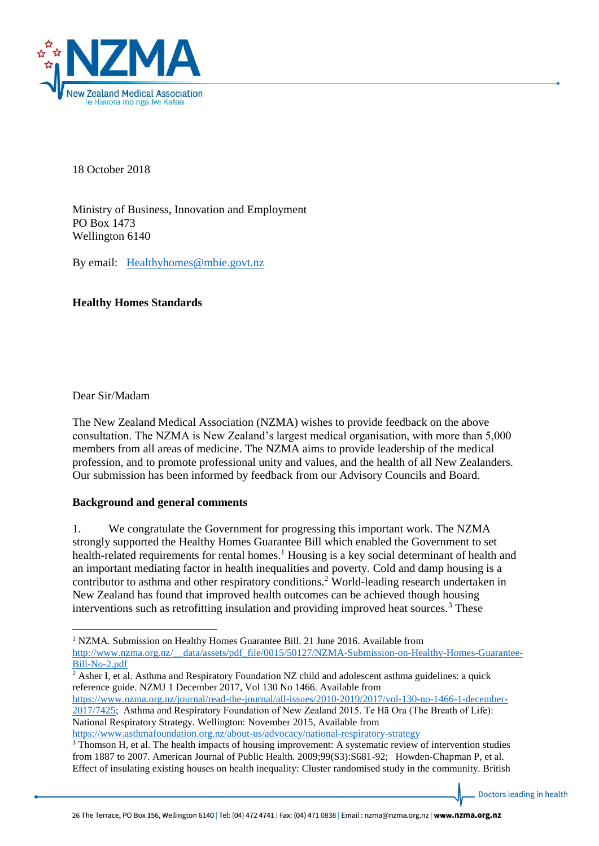

18 October 2018

Ministry of Business, Innovation and Employment PO Box 1473 Wellington 6140

By email: [Healthyhomes@mbie.govt.nz](mailto:Healthyhomes@mbie.govt.nz)

## **Healthy Homes Standards**

Dear Sir/Madam

 $\overline{a}$ 

The New Zealand Medical Association (NZMA) wishes to provide feedback on the above consultation. The NZMA is New Zealand's largest medical organisation, with more than 5,000 members from all areas of medicine. The NZMA aims to provide leadership of the medical profession, and to promote professional unity and values, and the health of all New Zealanders. Our submission has been informed by feedback from our Advisory Councils and Board.

# **Background and general comments**

1. We congratulate the Government for progressing this important work. The NZMA strongly supported the Healthy Homes Guarantee Bill which enabled the Government to set health-related requirements for rental homes.<sup>1</sup> Housing is a key social determinant of health and an important mediating factor in health inequalities and poverty. Cold and damp housing is a contributor to asthma and other respiratory conditions.<sup>2</sup> World-leading research undertaken in New Zealand has found that improved health outcomes can be achieved though housing interventions such as retrofitting insulation and providing improved heat sources.<sup>3</sup> These

[https://www.nzma.org.nz/journal/read-the-journal/all-issues/2010-2019/2017/vol-130-no-1466-1-december-](https://www.nzma.org.nz/journal/read-the-journal/all-issues/2010-2019/2017/vol-130-no-1466-1-december-2017/7425)[2017/7425;](https://www.nzma.org.nz/journal/read-the-journal/all-issues/2010-2019/2017/vol-130-no-1466-1-december-2017/7425) Asthma and Respiratory Foundation of New Zealand 2015. Te Hā Ora (The Breath of Life): National Respiratory Strategy. Wellington: November 2015, Available from

<https://www.asthmafoundation.org.nz/about-us/advocacy/national-respiratory-strategy>

Doctors leading in health

<sup>&</sup>lt;sup>1</sup> NZMA. Submission on Healthy Homes Guarantee Bill. 21 June 2016. Available from [http://www.nzma.org.nz/\\_\\_data/assets/pdf\\_file/0015/50127/NZMA-Submission-on-Healthy-Homes-Guarantee-](http://www.nzma.org.nz/__data/assets/pdf_file/0015/50127/NZMA-Submission-on-Healthy-Homes-Guarantee-Bill-No-2.pdf)[Bill-No-2.pdf](http://www.nzma.org.nz/__data/assets/pdf_file/0015/50127/NZMA-Submission-on-Healthy-Homes-Guarantee-Bill-No-2.pdf)

 $\frac{1}{2}$  Asher I, et al. Asthma and Respiratory Foundation NZ child and adolescent asthma guidelines: a quick reference guide. NZMJ 1 December 2017, Vol 130 No 1466. Available from

<sup>3</sup> Thomson H, et al. The health impacts of housing improvement: A systematic review of intervention studies from 1887 to 2007. American Journal of Public Health. 2009;99(S3):S681-92; Howden-Chapman P, et al. Effect of insulating existing houses on health inequality: Cluster randomised study in the community. British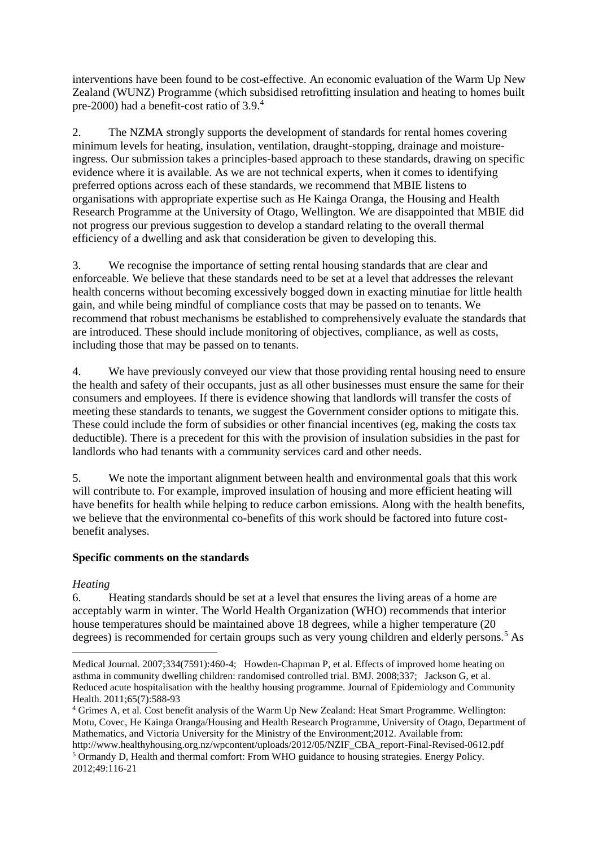interventions have been found to be cost-effective. An economic evaluation of the Warm Up New Zealand (WUNZ) Programme (which subsidised retrofitting insulation and heating to homes built pre-2000) had a benefit-cost ratio of 3.9.<sup>4</sup>

2. The NZMA strongly supports the development of standards for rental homes covering minimum levels for heating, insulation, ventilation, draught-stopping, drainage and moistureingress. Our submission takes a principles-based approach to these standards, drawing on specific evidence where it is available. As we are not technical experts, when it comes to identifying preferred options across each of these standards, we recommend that MBIE listens to organisations with appropriate expertise such as He Kainga Oranga, the Housing and Health Research Programme at the University of Otago, Wellington. We are disappointed that MBIE did not progress our previous suggestion to develop a standard relating to the overall thermal efficiency of a dwelling and ask that consideration be given to developing this.

3. We recognise the importance of setting rental housing standards that are clear and enforceable. We believe that these standards need to be set at a level that addresses the relevant health concerns without becoming excessively bogged down in exacting minutiae for little health gain, and while being mindful of compliance costs that may be passed on to tenants. We recommend that robust mechanisms be established to comprehensively evaluate the standards that are introduced. These should include monitoring of objectives, compliance, as well as costs, including those that may be passed on to tenants.

4. We have previously conveyed our view that those providing rental housing need to ensure the health and safety of their occupants, just as all other businesses must ensure the same for their consumers and employees. If there is evidence showing that landlords will transfer the costs of meeting these standards to tenants, we suggest the Government consider options to mitigate this. These could include the form of subsidies or other financial incentives (eg, making the costs tax deductible). There is a precedent for this with the provision of insulation subsidies in the past for landlords who had tenants with a community services card and other needs.

5. We note the important alignment between health and environmental goals that this work will contribute to. For example, improved insulation of housing and more efficient heating will have benefits for health while helping to reduce carbon emissions. Along with the health benefits, we believe that the environmental co-benefits of this work should be factored into future costbenefit analyses.

### **Specific comments on the standards**

### *Heating*

**.** 

6. Heating standards should be set at a level that ensures the living areas of a home are acceptably warm in winter. The World Health Organization (WHO) recommends that interior house temperatures should be maintained above 18 degrees, while a higher temperature (20 degrees) is recommended for certain groups such as very young children and elderly persons.<sup>5</sup> As

Medical Journal. 2007;334(7591):460-4; Howden-Chapman P, et al. Effects of improved home heating on asthma in community dwelling children: randomised controlled trial. BMJ. 2008;337; Jackson G, et al. Reduced acute hospitalisation with the healthy housing programme. Journal of Epidemiology and Community Health. 2011;65(7):588-93

<sup>4</sup> Grimes A, et al. Cost benefit analysis of the Warm Up New Zealand: Heat Smart Programme. Wellington: Motu, Covec, He Kainga Oranga/Housing and Health Research Programme, University of Otago, Department of Mathematics, and Victoria University for the Ministry of the Environment;2012. Available from: http://www.healthyhousing.org.nz/wpcontent/uploads/2012/05/NZIF\_CBA\_report-Final-Revised-0612.pdf

<sup>&</sup>lt;sup>5</sup> Ormandy D, Health and thermal comfort: From WHO guidance to housing strategies. Energy Policy. 2012;49:116-21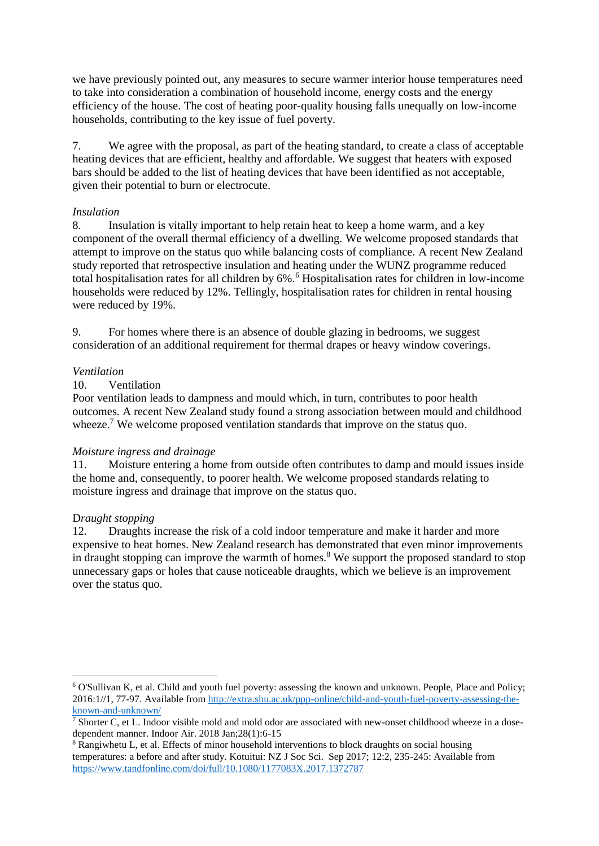we have previously pointed out, any measures to secure warmer interior house temperatures need to take into consideration a combination of household income, energy costs and the energy efficiency of the house. The cost of heating poor-quality housing falls unequally on low-income households, contributing to the key issue of fuel poverty.

7. We agree with the proposal, as part of the heating standard, to create a class of acceptable heating devices that are efficient, healthy and affordable. We suggest that heaters with exposed bars should be added to the list of heating devices that have been identified as not acceptable, given their potential to burn or electrocute.

### *Insulation*

8. Insulation is vitally important to help retain heat to keep a home warm, and a key component of the overall thermal efficiency of a dwelling. We welcome proposed standards that attempt to improve on the status quo while balancing costs of compliance. A recent New Zealand study reported that retrospective insulation and heating under the WUNZ programme reduced total hospitalisation rates for all children by 6%.<sup>6</sup> Hospitalisation rates for children in low-income households were reduced by 12%. Tellingly, hospitalisation rates for children in rental housing were reduced by 19%.

9. For homes where there is an absence of double glazing in bedrooms, we suggest consideration of an additional requirement for thermal drapes or heavy window coverings.

## *Ventilation*

### 10. Ventilation

Poor ventilation leads to dampness and mould which, in turn, contributes to poor health outcomes. A recent New Zealand study found a strong association between mould and childhood wheeze.<sup>7</sup> We welcome proposed ventilation standards that improve on the status quo.

### *Moisture ingress and drainage*

11. Moisture entering a home from outside often contributes to damp and mould issues inside the home and, consequently, to poorer health. We welcome proposed standards relating to moisture ingress and drainage that improve on the status quo.

### D*raught stopping*

1

12. Draughts increase the risk of a cold indoor temperature and make it harder and more expensive to heat homes. New Zealand research has demonstrated that even minor improvements in draught stopping can improve the warmth of homes.<sup>8</sup> We support the proposed standard to stop unnecessary gaps or holes that cause noticeable draughts, which we believe is an improvement over the status quo.

<sup>6</sup> O'Sullivan K, et al. Child and youth fuel poverty: assessing the known and unknown. People, Place and Policy; 2016:1//1, 77-97. Available from [http://extra.shu.ac.uk/ppp-online/child-and-youth-fuel-poverty-assessing-the](http://extra.shu.ac.uk/ppp-online/child-and-youth-fuel-poverty-assessing-the-known-and-unknown/)[known-and-unknown/](http://extra.shu.ac.uk/ppp-online/child-and-youth-fuel-poverty-assessing-the-known-and-unknown/)

 $7$  Shorter C, et L. Indoor visible mold and mold odor are associated with new-onset childhood wheeze in a dosedependent manner. Indoor Air. 2018 Jan;28(1):6-15

<sup>8</sup> Rangiwhetu L, et al. Effects of minor household interventions to block draughts on social housing temperatures: a before and after study. Kotuitui: NZ J Soc Sci. Sep 2017; 12:2, 235-245: Available from <https://www.tandfonline.com/doi/full/10.1080/1177083X.2017.1372787>